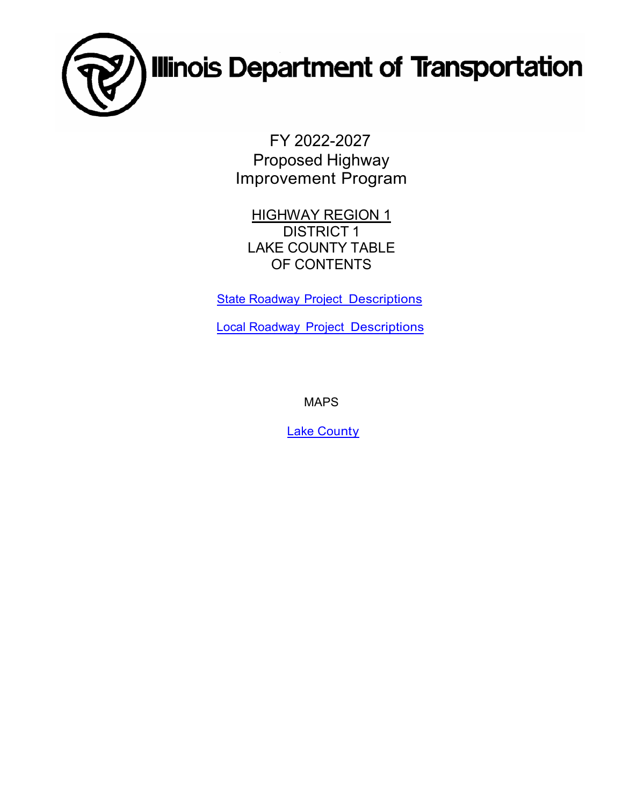

FY 2022-2027 Proposed Highway Improvement Program

**HIGHWAY REGION 1** DISTRICT 1 LAKE COUNTY TABLE OF CONTENTS

**State Roadway [Project Descriptions](#page-1-0)** 

Local Roadway [Project Descriptions](#page-20-0)

MAPS

Lake [County](#page-27-0)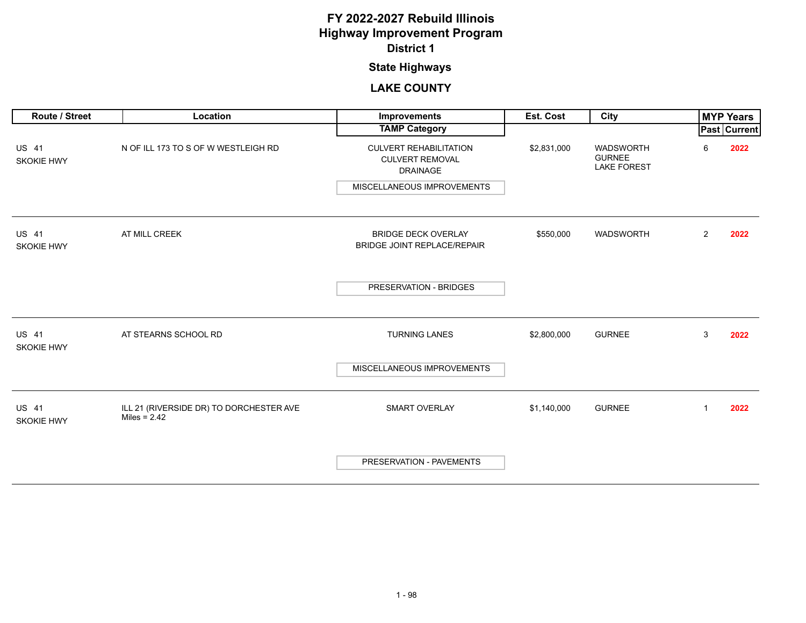## **State Highways**

<span id="page-1-0"></span>

| <b>Route / Street</b>             | Location                                                  | <b>Improvements</b>                                                        | Est. Cost   | City                                                    |                | <b>MYP Years</b> |
|-----------------------------------|-----------------------------------------------------------|----------------------------------------------------------------------------|-------------|---------------------------------------------------------|----------------|------------------|
|                                   |                                                           | <b>TAMP Category</b>                                                       |             |                                                         |                | Past Current     |
| <b>US 41</b><br><b>SKOKIE HWY</b> | N OF ILL 173 TO S OF W WESTLEIGH RD                       | <b>CULVERT REHABILITATION</b><br><b>CULVERT REMOVAL</b><br><b>DRAINAGE</b> | \$2,831,000 | <b>WADSWORTH</b><br><b>GURNEE</b><br><b>LAKE FOREST</b> | 6              | 2022             |
|                                   |                                                           | MISCELLANEOUS IMPROVEMENTS                                                 |             |                                                         |                |                  |
| <b>US 41</b><br><b>SKOKIE HWY</b> | AT MILL CREEK                                             | <b>BRIDGE DECK OVERLAY</b><br>BRIDGE JOINT REPLACE/REPAIR                  | \$550,000   | WADSWORTH                                               | $\overline{2}$ | 2022             |
|                                   |                                                           | PRESERVATION - BRIDGES                                                     |             |                                                         |                |                  |
| <b>US 41</b><br><b>SKOKIE HWY</b> | AT STEARNS SCHOOL RD                                      | <b>TURNING LANES</b>                                                       | \$2,800,000 | <b>GURNEE</b>                                           | 3              | 2022             |
|                                   |                                                           | MISCELLANEOUS IMPROVEMENTS                                                 |             |                                                         |                |                  |
| <b>US 41</b><br><b>SKOKIE HWY</b> | ILL 21 (RIVERSIDE DR) TO DORCHESTER AVE<br>Miles = $2.42$ | <b>SMART OVERLAY</b>                                                       | \$1,140,000 | <b>GURNEE</b>                                           | $\mathbf{1}$   | 2022             |
|                                   |                                                           | PRESERVATION - PAVEMENTS                                                   |             |                                                         |                |                  |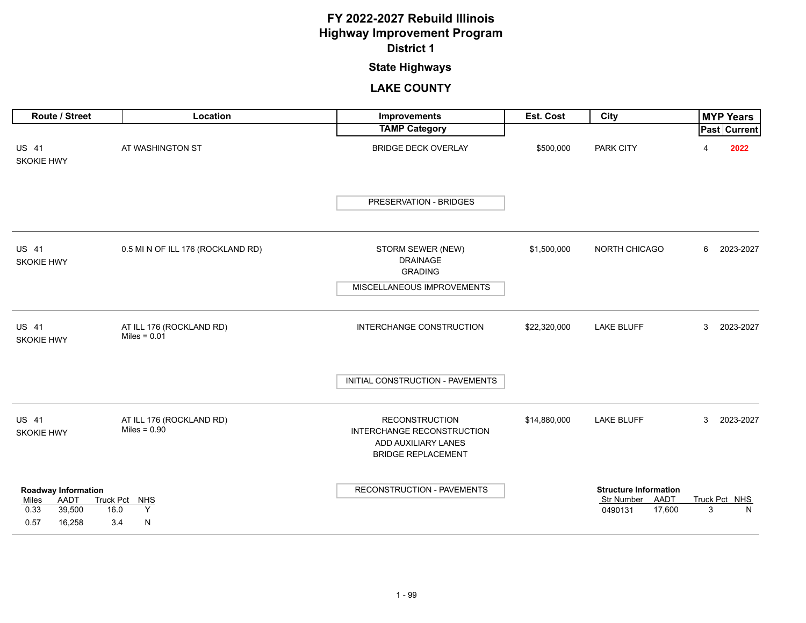## **State Highways**

| Route / Street                                                                                 | Location                                   | Improvements                                                                                            | Est. Cost    | City                                                                 |   | <b>MYP Years</b>   |
|------------------------------------------------------------------------------------------------|--------------------------------------------|---------------------------------------------------------------------------------------------------------|--------------|----------------------------------------------------------------------|---|--------------------|
|                                                                                                |                                            | <b>TAMP Category</b>                                                                                    |              |                                                                      |   | Past Current       |
| <b>US 41</b><br><b>SKOKIE HWY</b>                                                              | AT WASHINGTON ST                           | <b>BRIDGE DECK OVERLAY</b>                                                                              | \$500,000    | <b>PARK CITY</b>                                                     | Δ | 2022               |
|                                                                                                |                                            | PRESERVATION - BRIDGES                                                                                  |              |                                                                      |   |                    |
| <b>US 41</b><br><b>SKOKIE HWY</b>                                                              | 0.5 MI N OF ILL 176 (ROCKLAND RD)          | STORM SEWER (NEW)<br><b>DRAINAGE</b><br><b>GRADING</b>                                                  | \$1,500,000  | NORTH CHICAGO                                                        | 6 | 2023-2027          |
|                                                                                                |                                            | MISCELLANEOUS IMPROVEMENTS                                                                              |              |                                                                      |   |                    |
|                                                                                                |                                            |                                                                                                         |              |                                                                      |   |                    |
| <b>US 41</b><br><b>SKOKIE HWY</b>                                                              | AT ILL 176 (ROCKLAND RD)<br>Miles = $0.01$ | INTERCHANGE CONSTRUCTION                                                                                | \$22,320,000 | <b>LAKE BLUFF</b>                                                    | 3 | 2023-2027          |
|                                                                                                |                                            | INITIAL CONSTRUCTION - PAVEMENTS                                                                        |              |                                                                      |   |                    |
| <b>US 41</b><br><b>SKOKIE HWY</b>                                                              | AT ILL 176 (ROCKLAND RD)<br>Miles = $0.90$ | <b>RECONSTRUCTION</b><br>INTERCHANGE RECONSTRUCTION<br>ADD AUXILIARY LANES<br><b>BRIDGE REPLACEMENT</b> | \$14,880,000 | <b>LAKE BLUFF</b>                                                    | 3 | 2023-2027          |
| <b>Roadway Information</b><br>AADT<br>Miles<br>0.33<br>39,500<br>16.0<br>0.57<br>16,258<br>3.4 | Truck Pct NHS<br>Y<br>N                    | RECONSTRUCTION - PAVEMENTS                                                                              |              | <b>Structure Information</b><br>Str Number AADT<br>17,600<br>0490131 | 3 | Truck Pct NHS<br>N |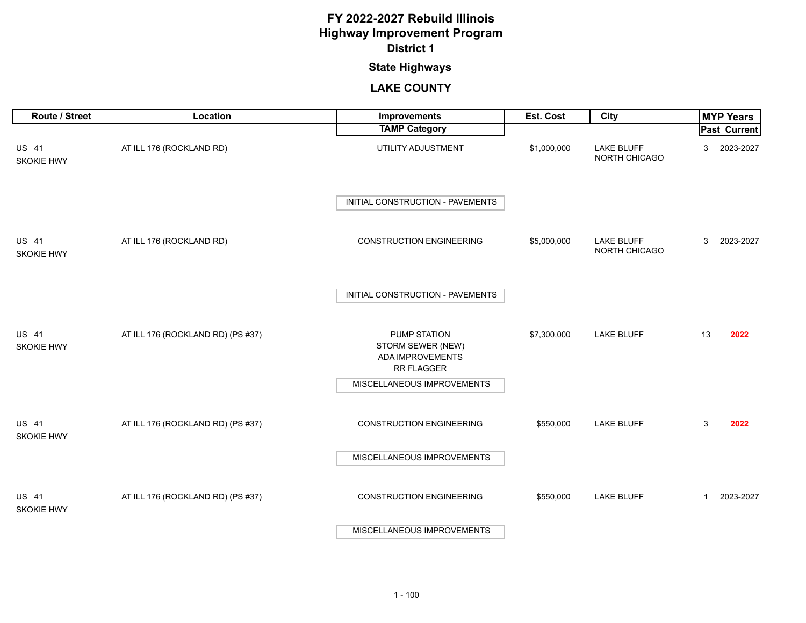## **State Highways**

| Route / Street                    | Location                          | Improvements                                                        | Est. Cost   | <b>City</b>                        |              | <b>MYP Years</b> |
|-----------------------------------|-----------------------------------|---------------------------------------------------------------------|-------------|------------------------------------|--------------|------------------|
|                                   |                                   | <b>TAMP Category</b>                                                |             |                                    |              | Past Current     |
| US 41<br><b>SKOKIE HWY</b>        | AT ILL 176 (ROCKLAND RD)          | UTILITY ADJUSTMENT                                                  | \$1,000,000 | <b>LAKE BLUFF</b><br>NORTH CHICAGO | 3            | 2023-2027        |
|                                   |                                   | INITIAL CONSTRUCTION - PAVEMENTS                                    |             |                                    |              |                  |
| <b>US 41</b><br><b>SKOKIE HWY</b> | AT ILL 176 (ROCKLAND RD)          | <b>CONSTRUCTION ENGINEERING</b>                                     | \$5,000,000 | <b>LAKE BLUFF</b><br>NORTH CHICAGO | 3            | 2023-2027        |
|                                   |                                   | INITIAL CONSTRUCTION - PAVEMENTS                                    |             |                                    |              |                  |
| <b>US 41</b><br>SKOKIE HWY        | AT ILL 176 (ROCKLAND RD) (PS #37) | PUMP STATION<br>STORM SEWER (NEW)<br>ADA IMPROVEMENTS<br>RR FLAGGER | \$7,300,000 | <b>LAKE BLUFF</b>                  | 13           | 2022             |
|                                   |                                   | MISCELLANEOUS IMPROVEMENTS                                          |             |                                    |              |                  |
| US 41<br>SKOKIE HWY               | AT ILL 176 (ROCKLAND RD) (PS #37) | <b>CONSTRUCTION ENGINEERING</b>                                     | \$550,000   | <b>LAKE BLUFF</b>                  | 3            | 2022             |
|                                   |                                   | MISCELLANEOUS IMPROVEMENTS                                          |             |                                    |              |                  |
| <b>US 41</b><br>SKOKIE HWY        | AT ILL 176 (ROCKLAND RD) (PS #37) | <b>CONSTRUCTION ENGINEERING</b>                                     | \$550,000   | <b>LAKE BLUFF</b>                  | $\mathbf{1}$ | 2023-2027        |
|                                   |                                   | MISCELLANEOUS IMPROVEMENTS                                          |             |                                    |              |                  |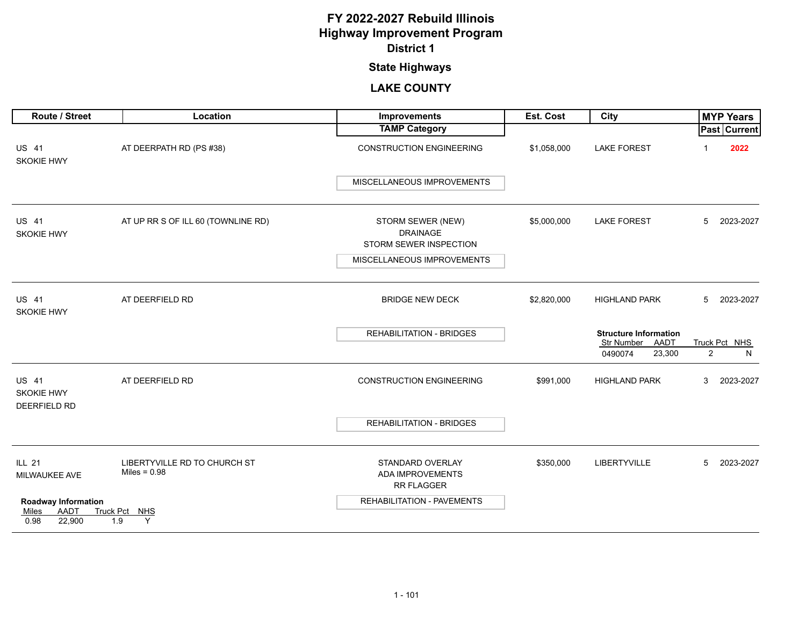## **State Highways**

| Route / Street                                                | Location                                       | <b>Improvements</b>                                            | Est. Cost   | City                                            |                | <b>MYP Years</b> |
|---------------------------------------------------------------|------------------------------------------------|----------------------------------------------------------------|-------------|-------------------------------------------------|----------------|------------------|
|                                                               |                                                | <b>TAMP Category</b>                                           |             |                                                 |                | Past Current     |
| <b>US 41</b><br>SKOKIE HWY                                    | AT DEERPATH RD (PS #38)                        | <b>CONSTRUCTION ENGINEERING</b>                                | \$1,058,000 | <b>LAKE FOREST</b>                              |                | 2022             |
|                                                               |                                                | MISCELLANEOUS IMPROVEMENTS                                     |             |                                                 |                |                  |
| <b>US 41</b><br><b>SKOKIE HWY</b>                             | AT UP RR S OF ILL 60 (TOWNLINE RD)             | STORM SEWER (NEW)<br><b>DRAINAGE</b><br>STORM SEWER INSPECTION | \$5,000,000 | <b>LAKE FOREST</b>                              | 5              | 2023-2027        |
|                                                               |                                                | MISCELLANEOUS IMPROVEMENTS                                     |             |                                                 |                |                  |
| US 41<br><b>SKOKIE HWY</b>                                    | AT DEERFIELD RD                                | <b>BRIDGE NEW DECK</b>                                         | \$2,820,000 | <b>HIGHLAND PARK</b>                            | 5              | 2023-2027        |
|                                                               |                                                | <b>REHABILITATION - BRIDGES</b>                                |             | <b>Structure Information</b><br>Str Number AADT |                | Truck Pct NHS    |
|                                                               |                                                |                                                                |             | 0490074<br>23,300                               | $\overline{2}$ | N                |
| <b>US 41</b><br><b>SKOKIE HWY</b><br><b>DEERFIELD RD</b>      | AT DEERFIELD RD                                | <b>CONSTRUCTION ENGINEERING</b>                                | \$991,000   | <b>HIGHLAND PARK</b>                            | 3              | 2023-2027        |
|                                                               |                                                | <b>REHABILITATION - BRIDGES</b>                                |             |                                                 |                |                  |
| <b>ILL 21</b><br>MILWAUKEE AVE                                | LIBERTYVILLE RD TO CHURCH ST<br>Miles = $0.98$ | STANDARD OVERLAY<br><b>ADA IMPROVEMENTS</b><br>RR FLAGGER      | \$350,000   | <b>LIBERTYVILLE</b>                             | 5              | 2023-2027        |
| <b>Roadway Information</b><br>AADT<br>Miles<br>0.98<br>22,900 | Truck Pct NHS<br>Y<br>1.9                      | REHABILITATION - PAVEMENTS                                     |             |                                                 |                |                  |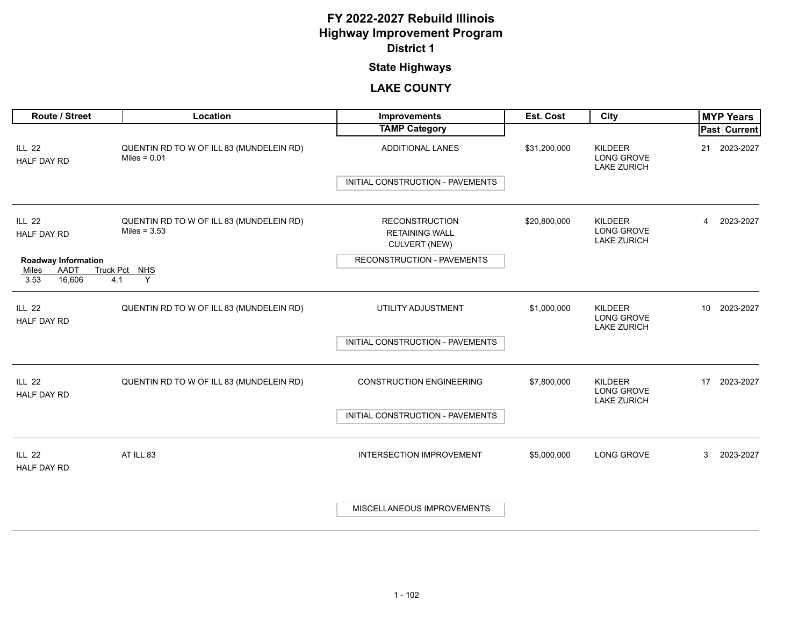## **State Highways**

| Route / Street                                                       | Location                                                   | Improvements                                                           | Est. Cost    | City                                                      |    | <b>MYP Years</b> |
|----------------------------------------------------------------------|------------------------------------------------------------|------------------------------------------------------------------------|--------------|-----------------------------------------------------------|----|------------------|
|                                                                      |                                                            | <b>TAMP Category</b>                                                   |              |                                                           |    | Past Current     |
| <b>ILL 22</b><br><b>HALF DAY RD</b>                                  | QUENTIN RD TO W OF ILL 83 (MUNDELEIN RD)<br>Miles = $0.01$ | <b>ADDITIONAL LANES</b>                                                | \$31,200,000 | KILDEER<br>LONG GROVE<br><b>LAKE ZURICH</b>               | 21 | 2023-2027        |
|                                                                      |                                                            | INITIAL CONSTRUCTION - PAVEMENTS                                       |              |                                                           |    |                  |
| <b>ILL 22</b><br><b>HALF DAY RD</b>                                  | QUENTIN RD TO W OF ILL 83 (MUNDELEIN RD)<br>Miles = $3.53$ | <b>RECONSTRUCTION</b><br><b>RETAINING WALL</b><br><b>CULVERT (NEW)</b> | \$20,800,000 | <b>KILDEER</b><br><b>LONG GROVE</b><br><b>LAKE ZURICH</b> | 4  | 2023-2027        |
| <b>Roadway Information</b><br>AADT<br>Miles<br>16,606<br>3.53<br>4.1 | Truck Pct NHS<br>Y                                         | RECONSTRUCTION - PAVEMENTS                                             |              |                                                           |    |                  |
| <b>ILL 22</b><br><b>HALF DAY RD</b>                                  | QUENTIN RD TO W OF ILL 83 (MUNDELEIN RD)                   | UTILITY ADJUSTMENT                                                     | \$1,000,000  | KILDEER<br>LONG GROVE<br><b>LAKE ZURICH</b>               |    | 10 2023-2027     |
|                                                                      |                                                            | INITIAL CONSTRUCTION - PAVEMENTS                                       |              |                                                           |    |                  |
| <b>ILL 22</b><br><b>HALF DAY RD</b>                                  | QUENTIN RD TO W OF ILL 83 (MUNDELEIN RD)                   | <b>CONSTRUCTION ENGINEERING</b>                                        | \$7,800,000  | KILDEER<br><b>LONG GROVE</b><br><b>LAKE ZURICH</b>        |    | 17 2023-2027     |
|                                                                      |                                                            | INITIAL CONSTRUCTION - PAVEMENTS                                       |              |                                                           |    |                  |
| <b>ILL 22</b><br><b>HALF DAY RD</b>                                  | AT ILL 83                                                  | <b>INTERSECTION IMPROVEMENT</b>                                        | \$5,000,000  | <b>LONG GROVE</b>                                         | 3  | 2023-2027        |
|                                                                      |                                                            | MISCELLANEOUS IMPROVEMENTS                                             |              |                                                           |    |                  |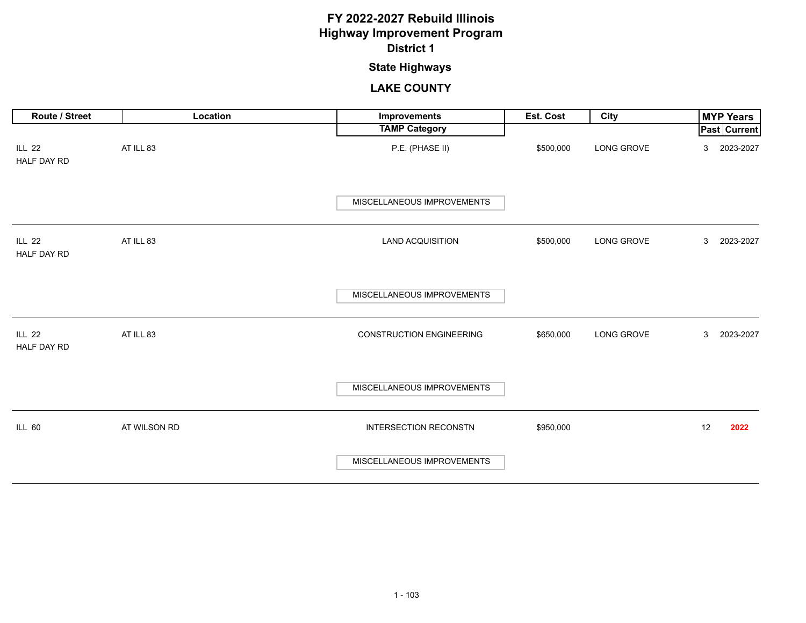## **State Highways**

| Route / Street               | Location     | Improvements                            | Est. Cost | City       | <b>MYP Years</b>                      |
|------------------------------|--------------|-----------------------------------------|-----------|------------|---------------------------------------|
| <b>ILL 22</b><br>HALF DAY RD | AT ILL 83    | <b>TAMP Category</b><br>P.E. (PHASE II) | \$500,000 | LONG GROVE | <b>Past Current</b><br>2023-2027<br>3 |
|                              |              | MISCELLANEOUS IMPROVEMENTS              |           |            |                                       |
| <b>ILL 22</b><br>HALF DAY RD | AT ILL 83    | <b>LAND ACQUISITION</b>                 | \$500,000 | LONG GROVE | 2023-2027<br>3                        |
|                              |              | MISCELLANEOUS IMPROVEMENTS              |           |            |                                       |
| <b>ILL 22</b><br>HALF DAY RD | AT ILL 83    | <b>CONSTRUCTION ENGINEERING</b>         | \$650,000 | LONG GROVE | 3<br>2023-2027                        |
|                              |              | MISCELLANEOUS IMPROVEMENTS              |           |            |                                       |
| <b>ILL 60</b>                | AT WILSON RD | <b>INTERSECTION RECONSTN</b>            | \$950,000 |            | 12<br>2022                            |
|                              |              | MISCELLANEOUS IMPROVEMENTS              |           |            |                                       |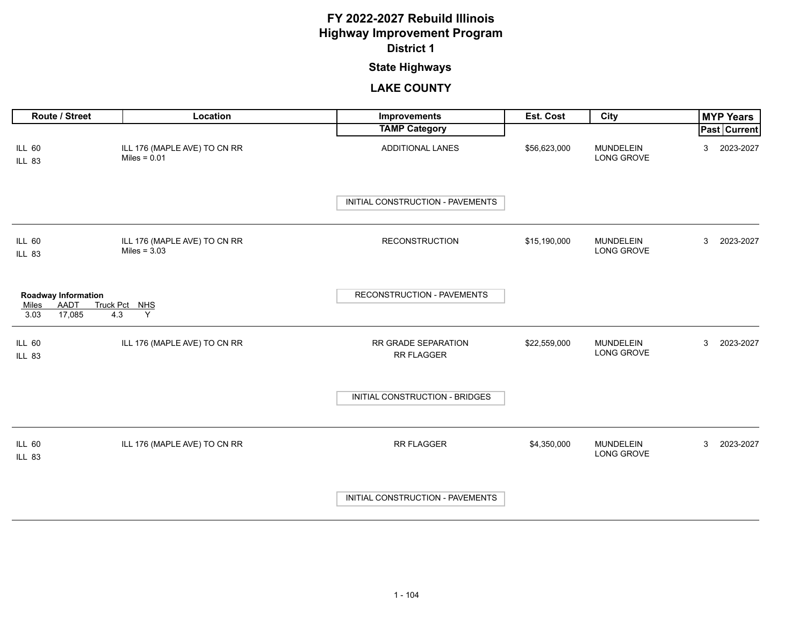## **State Highways**

| <b>Route / Street</b>                                                                    | Location                                       | Improvements                      | <b>Est. Cost</b> | City                           |   | <b>MYP Years</b> |
|------------------------------------------------------------------------------------------|------------------------------------------------|-----------------------------------|------------------|--------------------------------|---|------------------|
|                                                                                          |                                                | <b>TAMP Category</b>              |                  |                                |   | Past Current     |
| ILL 60<br>ILL 83                                                                         | ILL 176 (MAPLE AVE) TO CN RR<br>Miles = $0.01$ | ADDITIONAL LANES                  | \$56,623,000     | <b>MUNDELEIN</b><br>LONG GROVE | 3 | 2023-2027        |
|                                                                                          |                                                | INITIAL CONSTRUCTION - PAVEMENTS  |                  |                                |   |                  |
| <b>ILL 60</b><br><b>ILL 83</b>                                                           | ILL 176 (MAPLE AVE) TO CN RR<br>Miles = $3.03$ | <b>RECONSTRUCTION</b>             | \$15,190,000     | <b>MUNDELEIN</b><br>LONG GROVE | 3 | 2023-2027        |
| <b>Roadway Information</b><br>AADT<br><b>Truck Pct</b><br>Miles<br>17,085<br>3.03<br>4.3 | NHS<br>Y                                       | <b>RECONSTRUCTION - PAVEMENTS</b> |                  |                                |   |                  |
| <b>ILL 60</b><br><b>ILL 83</b>                                                           | ILL 176 (MAPLE AVE) TO CN RR                   | RR GRADE SEPARATION<br>RR FLAGGER | \$22,559,000     | <b>MUNDELEIN</b><br>LONG GROVE | 3 | 2023-2027        |
|                                                                                          |                                                | INITIAL CONSTRUCTION - BRIDGES    |                  |                                |   |                  |
| <b>ILL 60</b><br><b>ILL 83</b>                                                           | ILL 176 (MAPLE AVE) TO CN RR                   | RR FLAGGER                        | \$4,350,000      | <b>MUNDELEIN</b><br>LONG GROVE | 3 | 2023-2027        |
|                                                                                          |                                                | INITIAL CONSTRUCTION - PAVEMENTS  |                  |                                |   |                  |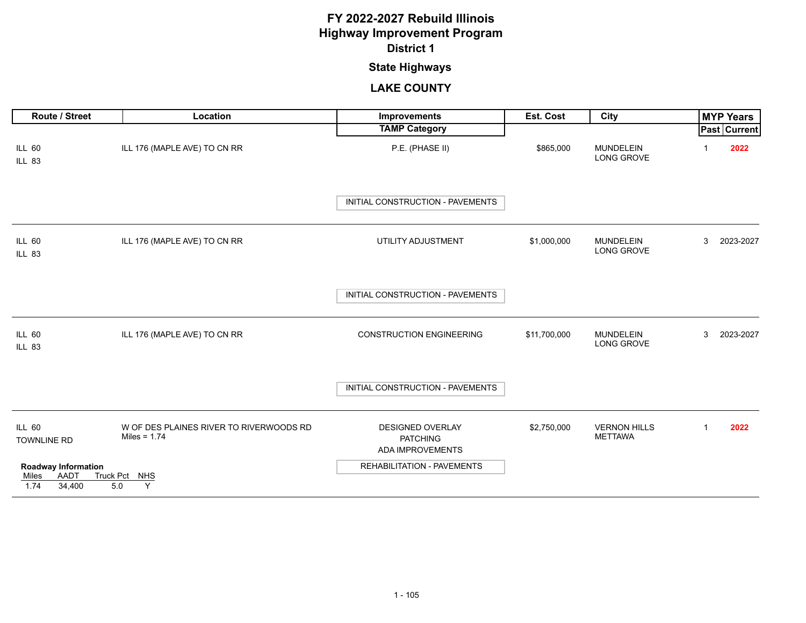## **State Highways**

| Route / Street                               | Location                                                  | <b>Improvements</b>                                            | Est. Cost    | <b>City</b>                           |             | <b>MYP Years</b> |
|----------------------------------------------|-----------------------------------------------------------|----------------------------------------------------------------|--------------|---------------------------------------|-------------|------------------|
|                                              |                                                           | <b>TAMP Category</b>                                           |              |                                       |             | Past Current     |
| <b>ILL 60</b><br><b>ILL 83</b>               | ILL 176 (MAPLE AVE) TO CN RR                              | P.E. (PHASE II)                                                | \$865,000    | <b>MUNDELEIN</b><br><b>LONG GROVE</b> |             | 2022             |
|                                              |                                                           | INITIAL CONSTRUCTION - PAVEMENTS                               |              |                                       |             |                  |
| <b>ILL 60</b><br><b>ILL 83</b>               | ILL 176 (MAPLE AVE) TO CN RR                              | UTILITY ADJUSTMENT                                             | \$1,000,000  | <b>MUNDELEIN</b><br>LONG GROVE        | 3           | 2023-2027        |
|                                              |                                                           | INITIAL CONSTRUCTION - PAVEMENTS                               |              |                                       |             |                  |
| <b>ILL 60</b><br><b>ILL 83</b>               | ILL 176 (MAPLE AVE) TO CN RR                              | <b>CONSTRUCTION ENGINEERING</b>                                | \$11,700,000 | <b>MUNDELEIN</b><br>LONG GROVE        | 3           | 2023-2027        |
|                                              |                                                           | INITIAL CONSTRUCTION - PAVEMENTS                               |              |                                       |             |                  |
| <b>ILL 60</b><br>TOWNLINE RD                 | W OF DES PLAINES RIVER TO RIVERWOODS RD<br>Miles = $1.74$ | <b>DESIGNED OVERLAY</b><br><b>PATCHING</b><br>ADA IMPROVEMENTS | \$2,750,000  | <b>VERNON HILLS</b><br><b>METTAWA</b> | $\mathbf 1$ | 2022             |
| <b>Roadway Information</b>                   |                                                           | REHABILITATION - PAVEMENTS                                     |              |                                       |             |                  |
| AADT<br>Truck Pct<br>Miles<br>1.74<br>34,400 | NHS<br>5.0<br>Y                                           |                                                                |              |                                       |             |                  |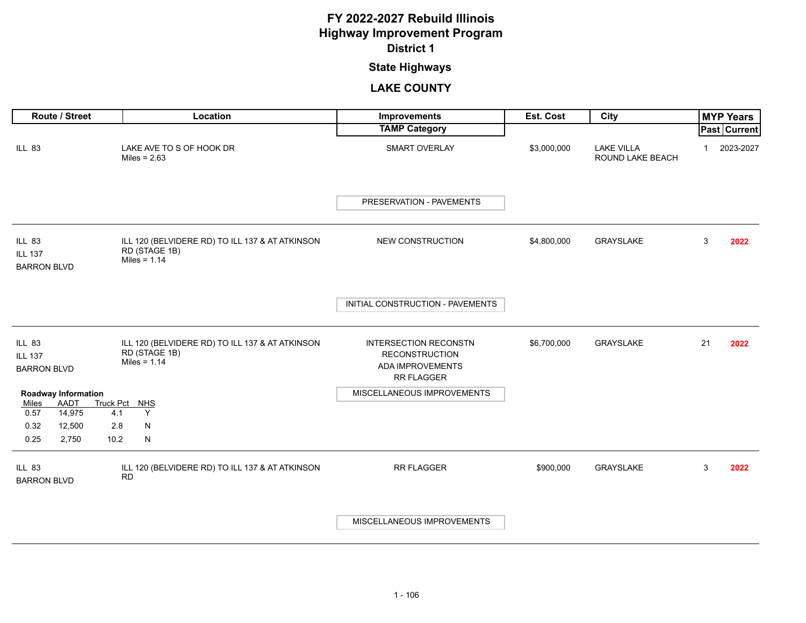## **State Highways**

|                                                       | Route / Street             |                         | Location                                                                           | Improvements                                                                                          | Est. Cost   | City                                  |    | <b>MYP Years</b>    |
|-------------------------------------------------------|----------------------------|-------------------------|------------------------------------------------------------------------------------|-------------------------------------------------------------------------------------------------------|-------------|---------------------------------------|----|---------------------|
|                                                       |                            |                         |                                                                                    | <b>TAMP Category</b>                                                                                  |             |                                       |    | <b>Past Current</b> |
| <b>ILL 83</b>                                         |                            |                         | LAKE AVE TO S OF HOOK DR<br>Miles = $2.63$                                         | <b>SMART OVERLAY</b>                                                                                  | \$3,000,000 | <b>LAKE VILLA</b><br>ROUND LAKE BEACH |    | 2023-2027           |
|                                                       |                            |                         |                                                                                    | PRESERVATION - PAVEMENTS                                                                              |             |                                       |    |                     |
| <b>ILL 83</b><br><b>ILL 137</b><br><b>BARRON BLVD</b> |                            |                         | ILL 120 (BELVIDERE RD) TO ILL 137 & AT ATKINSON<br>RD (STAGE 1B)<br>Miles = $1.14$ | <b>NEW CONSTRUCTION</b>                                                                               | \$4,800,000 | <b>GRAYSLAKE</b>                      | 3  | 2022                |
|                                                       |                            |                         |                                                                                    | INITIAL CONSTRUCTION - PAVEMENTS                                                                      |             |                                       |    |                     |
| <b>ILL 83</b><br><b>ILL 137</b><br><b>BARRON BLVD</b> |                            |                         | ILL 120 (BELVIDERE RD) TO ILL 137 & AT ATKINSON<br>RD (STAGE 1B)<br>Miles = $1.14$ | <b>INTERSECTION RECONSTN</b><br><b>RECONSTRUCTION</b><br><b>ADA IMPROVEMENTS</b><br><b>RR FLAGGER</b> | \$6,700,000 | GRAYSLAKE                             | 21 | 2022                |
|                                                       | <b>Roadway Information</b> |                         |                                                                                    | MISCELLANEOUS IMPROVEMENTS                                                                            |             |                                       |    |                     |
| Miles<br>0.57                                         | AADT<br>14,975             | <b>Truck Pct</b><br>4.1 | MHS<br>Y                                                                           |                                                                                                       |             |                                       |    |                     |
| 0.32                                                  | 12,500                     | 2.8                     | ${\sf N}$                                                                          |                                                                                                       |             |                                       |    |                     |
| 0.25                                                  | 2,750                      | 10.2                    | $\mathsf{N}$                                                                       |                                                                                                       |             |                                       |    |                     |
| <b>ILL 83</b><br><b>BARRON BLVD</b>                   |                            |                         | ILL 120 (BELVIDERE RD) TO ILL 137 & AT ATKINSON<br><b>RD</b>                       | RR FLAGGER                                                                                            | \$900,000   | <b>GRAYSLAKE</b>                      | 3  | 2022                |
|                                                       |                            |                         |                                                                                    | MISCELLANEOUS IMPROVEMENTS                                                                            |             |                                       |    |                     |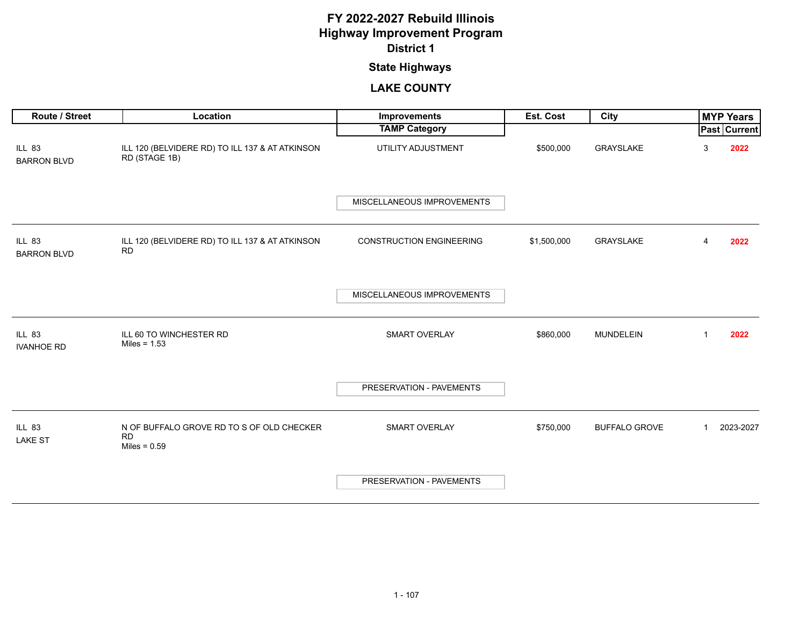## **State Highways**

| Route / Street                      | Location                                                                 | Improvements                    | Est. Cost   | <b>City</b>          |              | <b>MYP Years</b> |
|-------------------------------------|--------------------------------------------------------------------------|---------------------------------|-------------|----------------------|--------------|------------------|
|                                     |                                                                          | <b>TAMP Category</b>            |             |                      |              | Past Current     |
| <b>ILL 83</b><br><b>BARRON BLVD</b> | ILL 120 (BELVIDERE RD) TO ILL 137 & AT ATKINSON<br>RD (STAGE 1B)         | UTILITY ADJUSTMENT              | \$500,000   | GRAYSLAKE            | 3            | 2022             |
|                                     |                                                                          | MISCELLANEOUS IMPROVEMENTS      |             |                      |              |                  |
| <b>ILL 83</b><br><b>BARRON BLVD</b> | ILL 120 (BELVIDERE RD) TO ILL 137 & AT ATKINSON<br><b>RD</b>             | <b>CONSTRUCTION ENGINEERING</b> | \$1,500,000 | GRAYSLAKE            | 4            | 2022             |
|                                     |                                                                          | MISCELLANEOUS IMPROVEMENTS      |             |                      |              |                  |
| <b>ILL 83</b><br><b>IVANHOE RD</b>  | ILL 60 TO WINCHESTER RD<br>Miles = $1.53$                                | SMART OVERLAY                   | \$860,000   | <b>MUNDELEIN</b>     | $\mathbf{1}$ | 2022             |
|                                     |                                                                          | PRESERVATION - PAVEMENTS        |             |                      |              |                  |
| <b>ILL 83</b><br><b>LAKE ST</b>     | N OF BUFFALO GROVE RD TO S OF OLD CHECKER<br><b>RD</b><br>Miles = $0.59$ | <b>SMART OVERLAY</b>            | \$750,000   | <b>BUFFALO GROVE</b> | $\mathbf{1}$ | 2023-2027        |
|                                     |                                                                          | PRESERVATION - PAVEMENTS        |             |                      |              |                  |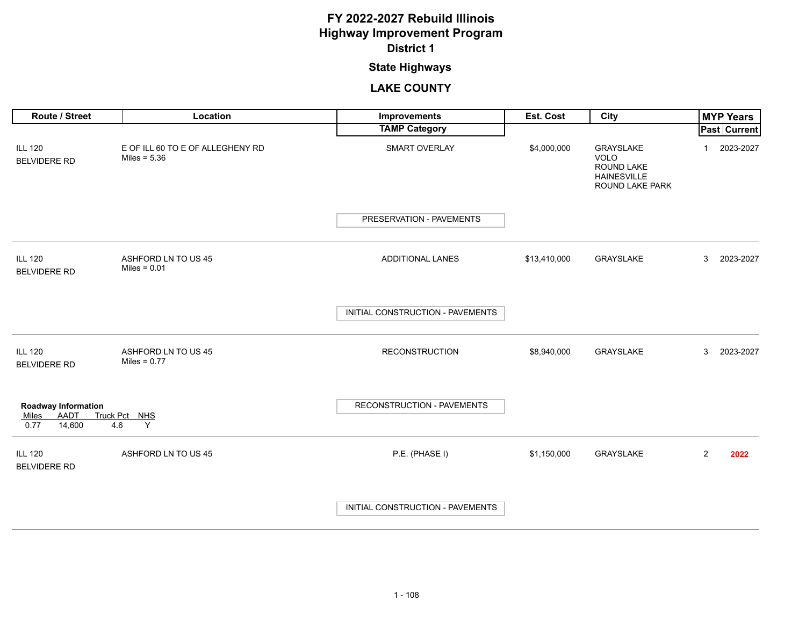# **State Highways**

| <b>Route / Street</b>                                                | Location                                           | Improvements                     | <b>Est. Cost</b> | City                                                                                   |                | <b>MYP Years</b> |
|----------------------------------------------------------------------|----------------------------------------------------|----------------------------------|------------------|----------------------------------------------------------------------------------------|----------------|------------------|
|                                                                      |                                                    | <b>TAMP Category</b>             |                  |                                                                                        |                | Past Current     |
| <b>ILL 120</b><br><b>BELVIDERE RD</b>                                | E OF ILL 60 TO E OF ALLEGHENY RD<br>Miles = $5.36$ | SMART OVERLAY                    | \$4,000,000      | GRAYSLAKE<br><b>VOLO</b><br>ROUND LAKE<br><b>HAINESVILLE</b><br><b>ROUND LAKE PARK</b> | 1              | 2023-2027        |
|                                                                      |                                                    | PRESERVATION - PAVEMENTS         |                  |                                                                                        |                |                  |
| <b>ILL 120</b><br><b>BELVIDERE RD</b>                                | ASHFORD LN TO US 45<br>Miles = $0.01$              | ADDITIONAL LANES                 | \$13,410,000     | <b>GRAYSLAKE</b>                                                                       | 3              | 2023-2027        |
|                                                                      |                                                    | INITIAL CONSTRUCTION - PAVEMENTS |                  |                                                                                        |                |                  |
| <b>ILL 120</b><br><b>BELVIDERE RD</b>                                | ASHFORD LN TO US 45<br>Miles = $0.77$              | <b>RECONSTRUCTION</b>            | \$8,940,000      | <b>GRAYSLAKE</b>                                                                       | 3              | 2023-2027        |
| <b>Roadway Information</b><br>AADT<br>Miles<br>0.77<br>14,600<br>4.6 | Truck Pct NHS<br>Y                                 | RECONSTRUCTION - PAVEMENTS       |                  |                                                                                        |                |                  |
| <b>ILL 120</b><br><b>BELVIDERE RD</b>                                | ASHFORD LN TO US 45                                | P.E. (PHASE I)                   | \$1,150,000      | GRAYSLAKE                                                                              | $\overline{2}$ | 2022             |
|                                                                      |                                                    | INITIAL CONSTRUCTION - PAVEMENTS |                  |                                                                                        |                |                  |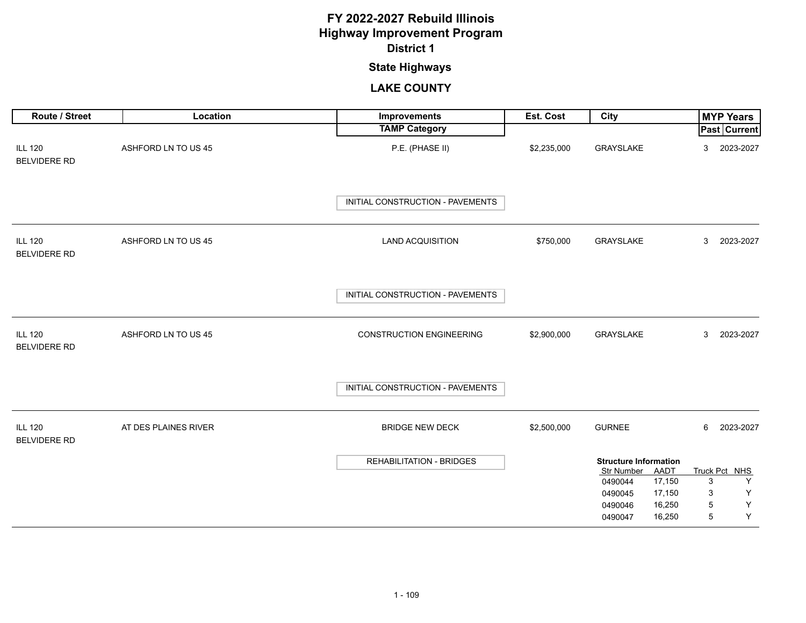## **State Highways**

| Route / Street                        | Location             | Improvements                     | Est. Cost   | City                                           | <b>MYP Years</b>        |
|---------------------------------------|----------------------|----------------------------------|-------------|------------------------------------------------|-------------------------|
|                                       |                      | <b>TAMP Category</b>             |             |                                                | <b>Past Current</b>     |
| <b>ILL 120</b><br><b>BELVIDERE RD</b> | ASHFORD LN TO US 45  | P.E. (PHASE II)                  | \$2,235,000 | GRAYSLAKE                                      | 2023-2027<br>3          |
|                                       |                      | INITIAL CONSTRUCTION - PAVEMENTS |             |                                                |                         |
| <b>ILL 120</b><br><b>BELVIDERE RD</b> | ASHFORD LN TO US 45  | <b>LAND ACQUISITION</b>          | \$750,000   | GRAYSLAKE                                      | 3<br>2023-2027          |
|                                       |                      | INITIAL CONSTRUCTION - PAVEMENTS |             |                                                |                         |
| <b>ILL 120</b><br><b>BELVIDERE RD</b> | ASHFORD LN TO US 45  | <b>CONSTRUCTION ENGINEERING</b>  | \$2,900,000 | GRAYSLAKE                                      | 2023-2027<br>3          |
|                                       |                      | INITIAL CONSTRUCTION - PAVEMENTS |             |                                                |                         |
| <b>ILL 120</b><br><b>BELVIDERE RD</b> | AT DES PLAINES RIVER | <b>BRIDGE NEW DECK</b>           | \$2,500,000 | <b>GURNEE</b>                                  | 6<br>2023-2027          |
|                                       |                      | <b>REHABILITATION - BRIDGES</b>  |             | <b>Structure Information</b>                   |                         |
|                                       |                      |                                  |             | <b>Str Number</b><br>AADT<br>17,150<br>0490044 | Truck Pct NHS<br>Y<br>3 |
|                                       |                      |                                  |             | 17,150<br>0490045                              | Y<br>3                  |
|                                       |                      |                                  |             | 16,250<br>0490046                              | $\mathsf Y$<br>5        |
|                                       |                      |                                  |             | 16,250<br>0490047                              | Y<br>5                  |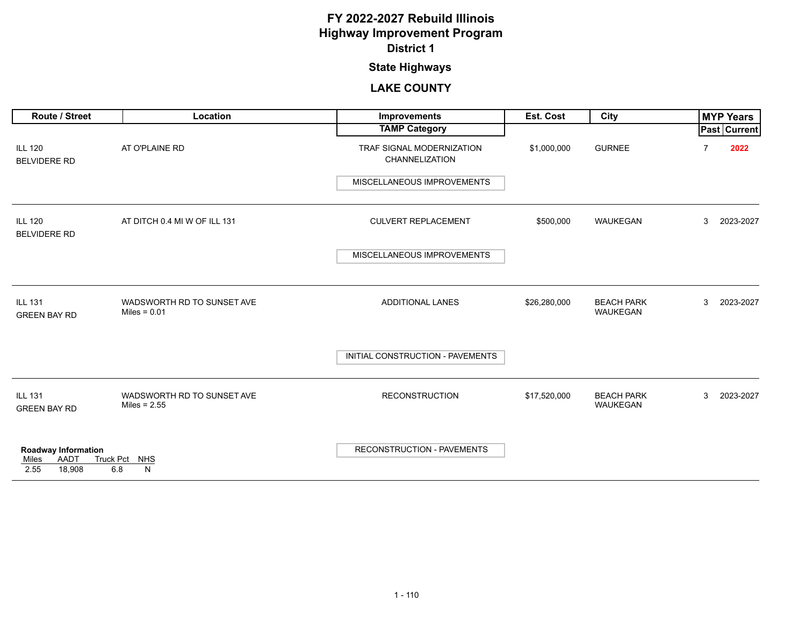# **State Highways**

| Route / Street                                         | Location                                     | Improvements                                       | Est. Cost    | City                                 |   | <b>MYP Years</b>    |
|--------------------------------------------------------|----------------------------------------------|----------------------------------------------------|--------------|--------------------------------------|---|---------------------|
|                                                        |                                              | <b>TAMP Category</b>                               |              |                                      |   | <b>Past Current</b> |
| <b>ILL 120</b><br><b>BELVIDERE RD</b>                  | AT O'PLAINE RD                               | TRAF SIGNAL MODERNIZATION<br><b>CHANNELIZATION</b> | \$1,000,000  | <b>GURNEE</b>                        |   | 2022                |
|                                                        |                                              | MISCELLANEOUS IMPROVEMENTS                         |              |                                      |   |                     |
| <b>ILL 120</b><br><b>BELVIDERE RD</b>                  | AT DITCH 0.4 MI W OF ILL 131                 | <b>CULVERT REPLACEMENT</b>                         | \$500,000    | WAUKEGAN                             | 3 | 2023-2027           |
|                                                        |                                              | MISCELLANEOUS IMPROVEMENTS                         |              |                                      |   |                     |
| <b>ILL 131</b><br><b>GREEN BAY RD</b>                  | WADSWORTH RD TO SUNSET AVE<br>Miles = $0.01$ | <b>ADDITIONAL LANES</b>                            | \$26,280,000 | <b>BEACH PARK</b><br><b>WAUKEGAN</b> | 3 | 2023-2027           |
|                                                        |                                              | INITIAL CONSTRUCTION - PAVEMENTS                   |              |                                      |   |                     |
| <b>ILL 131</b><br><b>GREEN BAY RD</b>                  | WADSWORTH RD TO SUNSET AVE<br>Miles = $2.55$ | <b>RECONSTRUCTION</b>                              | \$17,520,000 | <b>BEACH PARK</b><br>WAUKEGAN        | 3 | 2023-2027           |
| Roadway Information<br>AADT<br>Miles<br>18.908<br>2.55 | Truck Pct NHS<br>6.8<br>N                    | <b>RECONSTRUCTION - PAVEMENTS</b>                  |              |                                      |   |                     |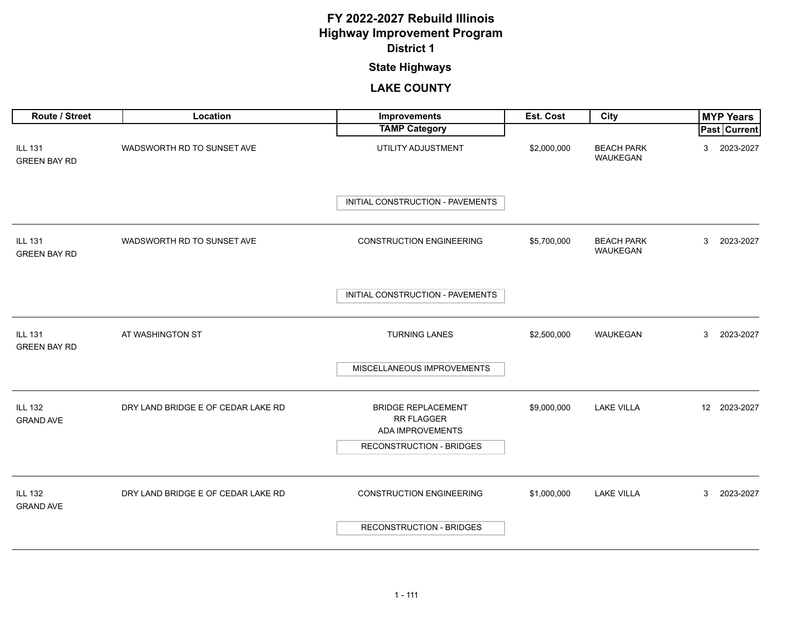## **State Highways**

| Route / Street                        | Location                           | Improvements                                                | Est. Cost   | City                          | <b>MYP Years</b>    |
|---------------------------------------|------------------------------------|-------------------------------------------------------------|-------------|-------------------------------|---------------------|
|                                       |                                    | <b>TAMP Category</b>                                        |             |                               | <b>Past Current</b> |
| <b>ILL 131</b><br><b>GREEN BAY RD</b> | WADSWORTH RD TO SUNSET AVE         | UTILITY ADJUSTMENT                                          | \$2,000,000 | <b>BEACH PARK</b><br>WAUKEGAN | 2023-2027<br>3      |
|                                       |                                    | INITIAL CONSTRUCTION - PAVEMENTS                            |             |                               |                     |
| <b>ILL 131</b><br><b>GREEN BAY RD</b> | WADSWORTH RD TO SUNSET AVE         | <b>CONSTRUCTION ENGINEERING</b>                             | \$5,700,000 | <b>BEACH PARK</b><br>WAUKEGAN | 3<br>2023-2027      |
|                                       |                                    | INITIAL CONSTRUCTION - PAVEMENTS                            |             |                               |                     |
| <b>ILL 131</b><br><b>GREEN BAY RD</b> | AT WASHINGTON ST                   | <b>TURNING LANES</b>                                        | \$2,500,000 | WAUKEGAN                      | 3<br>2023-2027      |
|                                       |                                    | MISCELLANEOUS IMPROVEMENTS                                  |             |                               |                     |
| <b>ILL 132</b><br><b>GRAND AVE</b>    | DRY LAND BRIDGE E OF CEDAR LAKE RD | <b>BRIDGE REPLACEMENT</b><br>RR FLAGGER<br>ADA IMPROVEMENTS | \$9,000,000 | <b>LAKE VILLA</b>             | 12 2023-2027        |
|                                       |                                    | <b>RECONSTRUCTION - BRIDGES</b>                             |             |                               |                     |
| <b>ILL 132</b><br><b>GRAND AVE</b>    | DRY LAND BRIDGE E OF CEDAR LAKE RD | <b>CONSTRUCTION ENGINEERING</b>                             | \$1,000,000 | <b>LAKE VILLA</b>             | 3<br>2023-2027      |
|                                       |                                    | <b>RECONSTRUCTION - BRIDGES</b>                             |             |                               |                     |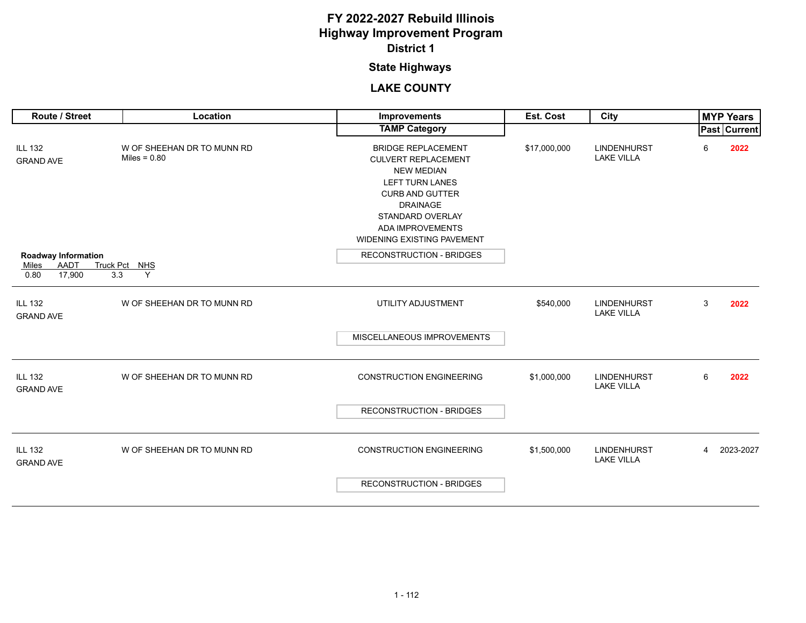## **State Highways**

| Route / Street                                                       | Location                                     | Improvements                                                                                                                                                                                                                     | Est. Cost    | City                                    |                | <b>MYP Years</b> |
|----------------------------------------------------------------------|----------------------------------------------|----------------------------------------------------------------------------------------------------------------------------------------------------------------------------------------------------------------------------------|--------------|-----------------------------------------|----------------|------------------|
|                                                                      |                                              | <b>TAMP Category</b>                                                                                                                                                                                                             |              |                                         |                | Past Current     |
| <b>ILL 132</b><br><b>GRAND AVE</b>                                   | W OF SHEEHAN DR TO MUNN RD<br>Miles = $0.80$ | <b>BRIDGE REPLACEMENT</b><br><b>CULVERT REPLACEMENT</b><br><b>NEW MEDIAN</b><br><b>LEFT TURN LANES</b><br><b>CURB AND GUTTER</b><br><b>DRAINAGE</b><br>STANDARD OVERLAY<br>ADA IMPROVEMENTS<br><b>WIDENING EXISTING PAVEMENT</b> | \$17,000,000 | <b>LINDENHURST</b><br><b>LAKE VILLA</b> | 6              | 2022             |
| Roadway Information<br><b>AADT</b><br>Miles<br>0.80<br>17,900<br>3.3 | Truck Pct NHS<br>Y                           | <b>RECONSTRUCTION - BRIDGES</b>                                                                                                                                                                                                  |              |                                         |                |                  |
| <b>ILL 132</b><br><b>GRAND AVE</b>                                   | W OF SHEEHAN DR TO MUNN RD                   | UTILITY ADJUSTMENT                                                                                                                                                                                                               | \$540,000    | <b>LINDENHURST</b><br><b>LAKE VILLA</b> | 3              | 2022             |
|                                                                      |                                              | MISCELLANEOUS IMPROVEMENTS                                                                                                                                                                                                       |              |                                         |                |                  |
| <b>ILL 132</b><br><b>GRAND AVE</b>                                   | W OF SHEEHAN DR TO MUNN RD                   | <b>CONSTRUCTION ENGINEERING</b>                                                                                                                                                                                                  | \$1,000,000  | <b>LINDENHURST</b><br><b>LAKE VILLA</b> | 6              | 2022             |
|                                                                      |                                              | <b>RECONSTRUCTION - BRIDGES</b>                                                                                                                                                                                                  |              |                                         |                |                  |
| <b>ILL 132</b><br><b>GRAND AVE</b>                                   | W OF SHEEHAN DR TO MUNN RD                   | <b>CONSTRUCTION ENGINEERING</b>                                                                                                                                                                                                  | \$1,500,000  | <b>LINDENHURST</b><br><b>LAKE VILLA</b> | $\overline{4}$ | 2023-2027        |
|                                                                      |                                              | <b>RECONSTRUCTION - BRIDGES</b>                                                                                                                                                                                                  |              |                                         |                |                  |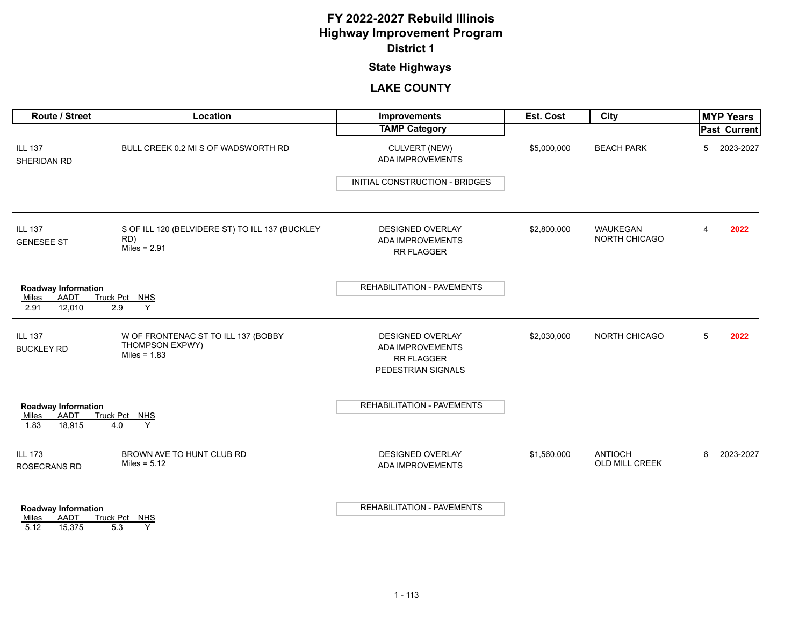## **State Highways**

| Route / Street                                                       | Location                                                                 | Improvements                                                                                  | Est. Cost   | City                                    |   | <b>MYP Years</b> |
|----------------------------------------------------------------------|--------------------------------------------------------------------------|-----------------------------------------------------------------------------------------------|-------------|-----------------------------------------|---|------------------|
|                                                                      |                                                                          | <b>TAMP Category</b>                                                                          |             |                                         |   | Past Current     |
| <b>ILL 137</b><br>SHERIDAN RD                                        | BULL CREEK 0.2 MI S OF WADSWORTH RD                                      | CULVERT (NEW)<br>ADA IMPROVEMENTS                                                             | \$5,000,000 | <b>BEACH PARK</b>                       | 5 | 2023-2027        |
|                                                                      |                                                                          | INITIAL CONSTRUCTION - BRIDGES                                                                |             |                                         |   |                  |
| <b>ILL 137</b><br><b>GENESEE ST</b>                                  | S OF ILL 120 (BELVIDERE ST) TO ILL 137 (BUCKLEY<br>RD)<br>Miles = $2.91$ | <b>DESIGNED OVERLAY</b><br><b>ADA IMPROVEMENTS</b><br><b>RR FLAGGER</b>                       | \$2,800,000 | <b>WAUKEGAN</b><br><b>NORTH CHICAGO</b> | 4 | 2022             |
| <b>Roadway Information</b><br>AADT<br>Miles<br>12,010<br>2.91<br>2.9 | Truck Pct NHS<br>Y                                                       | <b>REHABILITATION - PAVEMENTS</b>                                                             |             |                                         |   |                  |
| <b>ILL 137</b><br><b>BUCKLEY RD</b>                                  | W OF FRONTENAC ST TO ILL 137 (BOBBY<br>THOMPSON EXPWY)<br>Miles = $1.83$ | <b>DESIGNED OVERLAY</b><br><b>ADA IMPROVEMENTS</b><br><b>RR FLAGGER</b><br>PEDESTRIAN SIGNALS | \$2,030,000 | <b>NORTH CHICAGO</b>                    | 5 | 2022             |
| <b>Roadway Information</b><br>AADT<br>Miles<br>18,915<br>1.83<br>4.0 | Truck Pct NHS<br>Y                                                       | <b>REHABILITATION - PAVEMENTS</b>                                                             |             |                                         |   |                  |
| <b>ILL 173</b><br>ROSECRANS RD                                       | BROWN AVE TO HUNT CLUB RD<br>Miles = $5.12$                              | <b>DESIGNED OVERLAY</b><br>ADA IMPROVEMENTS                                                   | \$1,560,000 | <b>ANTIOCH</b><br>OLD MILL CREEK        | 6 | 2023-2027        |
| <b>Roadway Information</b><br>AADT<br>Miles<br>5.12<br>15,375<br>5.3 | Truck Pct NHS<br>Y                                                       | REHABILITATION - PAVEMENTS                                                                    |             |                                         |   |                  |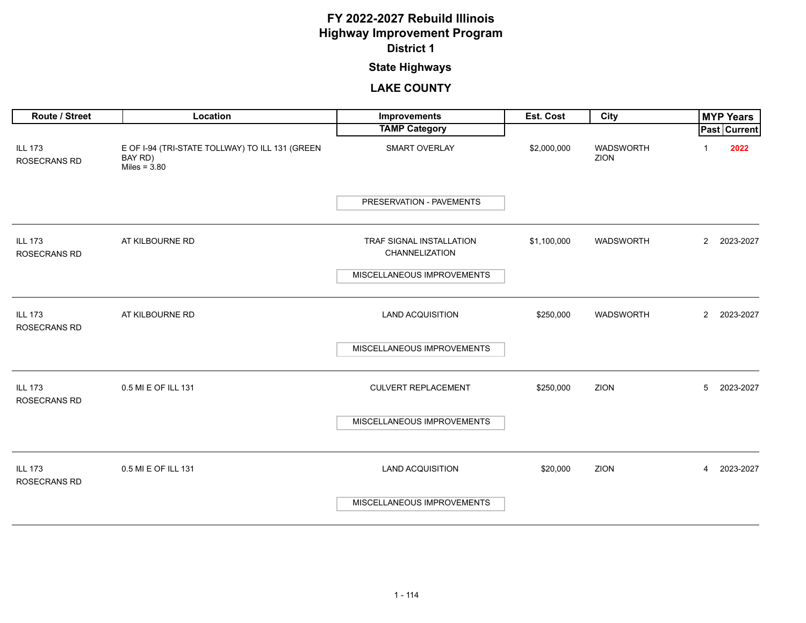## **State Highways**

| Route / Street                        | Location                                                                     | Improvements                               | Est. Cost   | City                     |                | <b>MYP Years</b> |
|---------------------------------------|------------------------------------------------------------------------------|--------------------------------------------|-------------|--------------------------|----------------|------------------|
|                                       |                                                                              | <b>TAMP Category</b>                       |             |                          |                | Past Current     |
| <b>ILL 173</b><br><b>ROSECRANS RD</b> | E OF I-94 (TRI-STATE TOLLWAY) TO ILL 131 (GREEN<br>BAY RD)<br>Miles = $3.80$ | SMART OVERLAY                              | \$2,000,000 | <b>WADSWORTH</b><br>ZION |                | 2022             |
|                                       |                                                                              | PRESERVATION - PAVEMENTS                   |             |                          |                |                  |
| <b>ILL 173</b><br><b>ROSECRANS RD</b> | AT KILBOURNE RD                                                              | TRAF SIGNAL INSTALLATION<br>CHANNELIZATION | \$1,100,000 | WADSWORTH                | $\mathbf{2}$   | 2023-2027        |
|                                       |                                                                              | MISCELLANEOUS IMPROVEMENTS                 |             |                          |                |                  |
| <b>ILL 173</b><br>ROSECRANS RD        | AT KILBOURNE RD                                                              | <b>LAND ACQUISITION</b>                    | \$250,000   | WADSWORTH                | $\overline{2}$ | 2023-2027        |
|                                       |                                                                              | MISCELLANEOUS IMPROVEMENTS                 |             |                          |                |                  |
| <b>ILL 173</b><br><b>ROSECRANS RD</b> | 0.5 MI E OF ILL 131                                                          | <b>CULVERT REPLACEMENT</b>                 | \$250,000   | ZION                     | 5              | 2023-2027        |
|                                       |                                                                              | MISCELLANEOUS IMPROVEMENTS                 |             |                          |                |                  |
| <b>ILL 173</b><br>ROSECRANS RD        | 0.5 MI E OF ILL 131                                                          | <b>LAND ACQUISITION</b>                    | \$20,000    | ZION                     | 4              | 2023-2027        |
|                                       |                                                                              | MISCELLANEOUS IMPROVEMENTS                 |             |                          |                |                  |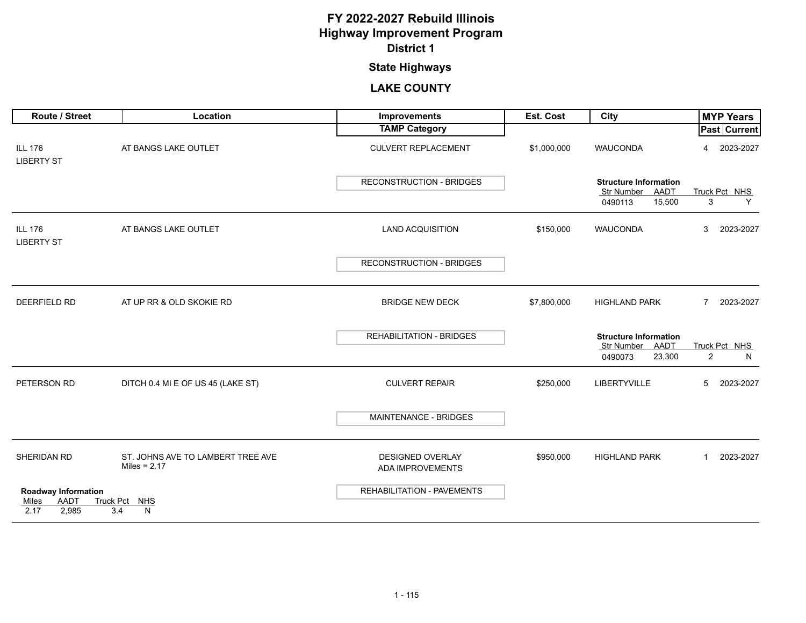## **State Highways**

| Route / Street                      | Location                                            | <b>Improvements</b>                                | Est. Cost   | City                                            | <b>MYP Years</b>         |
|-------------------------------------|-----------------------------------------------------|----------------------------------------------------|-------------|-------------------------------------------------|--------------------------|
|                                     |                                                     | <b>TAMP Category</b>                               |             |                                                 | Past Current             |
| <b>ILL 176</b><br><b>LIBERTY ST</b> | AT BANGS LAKE OUTLET                                | <b>CULVERT REPLACEMENT</b>                         | \$1,000,000 | <b>WAUCONDA</b>                                 | 2023-2027<br>4           |
|                                     |                                                     | <b>RECONSTRUCTION - BRIDGES</b>                    |             | <b>Structure Information</b>                    |                          |
|                                     |                                                     |                                                    |             | Str Number AADT<br>15,500<br>0490113            | Truck Pct NHS<br>3<br>Y  |
| <b>ILL 176</b><br><b>LIBERTY ST</b> | AT BANGS LAKE OUTLET                                | <b>LAND ACQUISITION</b>                            | \$150,000   | <b>WAUCONDA</b>                                 | 3<br>2023-2027           |
|                                     |                                                     | <b>RECONSTRUCTION - BRIDGES</b>                    |             |                                                 |                          |
| <b>DEERFIELD RD</b>                 | AT UP RR & OLD SKOKIE RD                            | <b>BRIDGE NEW DECK</b>                             | \$7,800,000 | <b>HIGHLAND PARK</b>                            | 2023-2027<br>7           |
|                                     |                                                     | <b>REHABILITATION - BRIDGES</b>                    |             | <b>Structure Information</b><br>Str Number AADT | Truck Pct NHS            |
|                                     |                                                     |                                                    |             | 23,300<br>0490073                               | $\overline{2}$<br>N.     |
| PETERSON RD                         | DITCH 0.4 MI E OF US 45 (LAKE ST)                   | <b>CULVERT REPAIR</b>                              | \$250,000   | LIBERTYVILLE                                    | 5<br>2023-2027           |
|                                     |                                                     | MAINTENANCE - BRIDGES                              |             |                                                 |                          |
| SHERIDAN RD                         | ST. JOHNS AVE TO LAMBERT TREE AVE<br>Miles = $2.17$ | <b>DESIGNED OVERLAY</b><br><b>ADA IMPROVEMENTS</b> | \$950,000   | <b>HIGHLAND PARK</b>                            | 2023-2027<br>$\mathbf 1$ |
| <b>Roadway Information</b>          |                                                     | REHABILITATION - PAVEMENTS                         |             |                                                 |                          |
| AADT<br>Miles<br>2,985<br>2.17      | Truck Pct NHS<br>3.4<br>N                           |                                                    |             |                                                 |                          |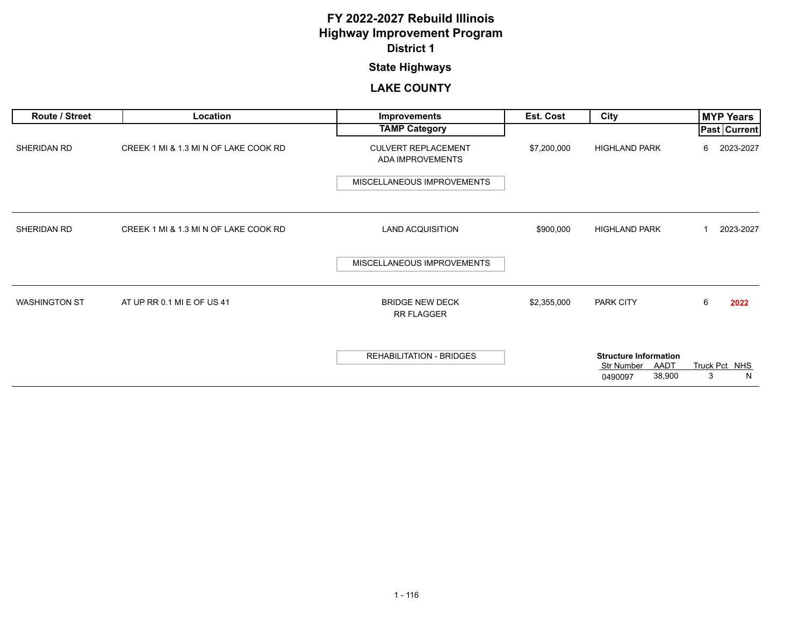## **State Highways**

| Route / Street       | Location                              | Improvements                                                                 | Est. Cost   | City                                                                    | <b>MYP Years</b>        |
|----------------------|---------------------------------------|------------------------------------------------------------------------------|-------------|-------------------------------------------------------------------------|-------------------------|
|                      |                                       | <b>TAMP Category</b>                                                         |             |                                                                         | Past   Current          |
| SHERIDAN RD          | CREEK 1 MI & 1.3 MI N OF LAKE COOK RD | <b>CULVERT REPLACEMENT</b><br>ADA IMPROVEMENTS<br>MISCELLANEOUS IMPROVEMENTS | \$7,200,000 | <b>HIGHLAND PARK</b>                                                    | 2023-2027<br>6          |
| SHERIDAN RD          | CREEK 1 MI & 1.3 MI N OF LAKE COOK RD | <b>LAND ACQUISITION</b>                                                      | \$900,000   | <b>HIGHLAND PARK</b>                                                    | 2023-2027<br>1          |
|                      |                                       | MISCELLANEOUS IMPROVEMENTS                                                   |             |                                                                         |                         |
| <b>WASHINGTON ST</b> | AT UP RR 0.1 MI E OF US 41            | <b>BRIDGE NEW DECK</b><br><b>RR FLAGGER</b>                                  | \$2,355,000 | PARK CITY                                                               | 6<br>2022               |
|                      |                                       | <b>REHABILITATION - BRIDGES</b>                                              |             | <b>Structure Information</b><br>AADT<br>Str Number<br>38,900<br>0490097 | Truck Pct NHS<br>3<br>N |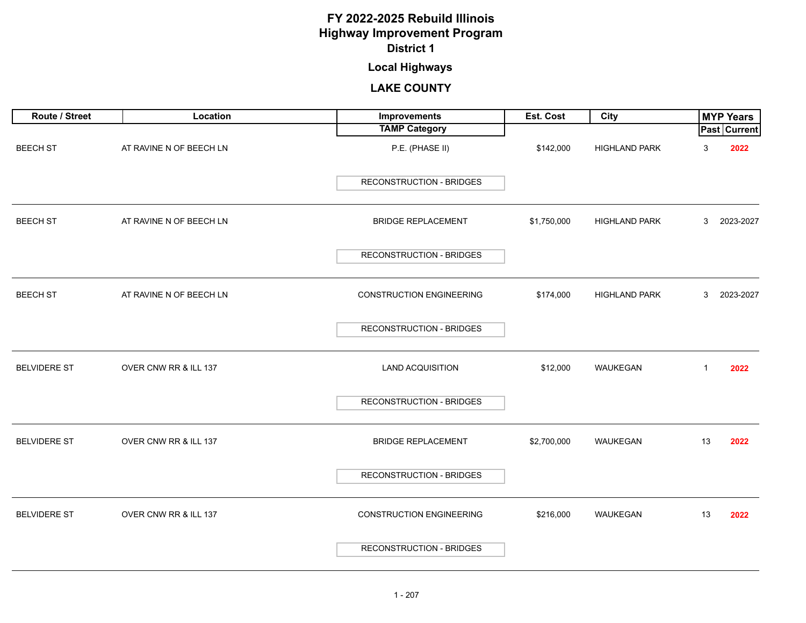## **Local Highways**

<span id="page-20-0"></span>

| Route / Street      | Location                | Improvements                    | Est. Cost   | City                 |              | <b>MYP Years</b>    |
|---------------------|-------------------------|---------------------------------|-------------|----------------------|--------------|---------------------|
|                     |                         | <b>TAMP Category</b>            |             |                      |              | <b>Past Current</b> |
| <b>BEECH ST</b>     | AT RAVINE N OF BEECH LN | P.E. (PHASE II)                 | \$142,000   | <b>HIGHLAND PARK</b> | 3            | 2022                |
|                     |                         | RECONSTRUCTION - BRIDGES        |             |                      |              |                     |
| <b>BEECH ST</b>     | AT RAVINE N OF BEECH LN | <b>BRIDGE REPLACEMENT</b>       | \$1,750,000 | <b>HIGHLAND PARK</b> | 3            | 2023-2027           |
|                     |                         | RECONSTRUCTION - BRIDGES        |             |                      |              |                     |
| <b>BEECH ST</b>     | AT RAVINE N OF BEECH LN | <b>CONSTRUCTION ENGINEERING</b> | \$174,000   | HIGHLAND PARK        | 3            | 2023-2027           |
|                     |                         | <b>RECONSTRUCTION - BRIDGES</b> |             |                      |              |                     |
| <b>BELVIDERE ST</b> | OVER CNW RR & ILL 137   | <b>LAND ACQUISITION</b>         | \$12,000    | WAUKEGAN             | $\mathbf{1}$ | 2022                |
|                     |                         | <b>RECONSTRUCTION - BRIDGES</b> |             |                      |              |                     |
| <b>BELVIDERE ST</b> | OVER CNW RR & ILL 137   | <b>BRIDGE REPLACEMENT</b>       | \$2,700,000 | WAUKEGAN             | 13           | 2022                |
|                     |                         | <b>RECONSTRUCTION - BRIDGES</b> |             |                      |              |                     |
| <b>BELVIDERE ST</b> | OVER CNW RR & ILL 137   | <b>CONSTRUCTION ENGINEERING</b> | \$216,000   | WAUKEGAN             | 13           | 2022                |
|                     |                         | RECONSTRUCTION - BRIDGES        |             |                      |              |                     |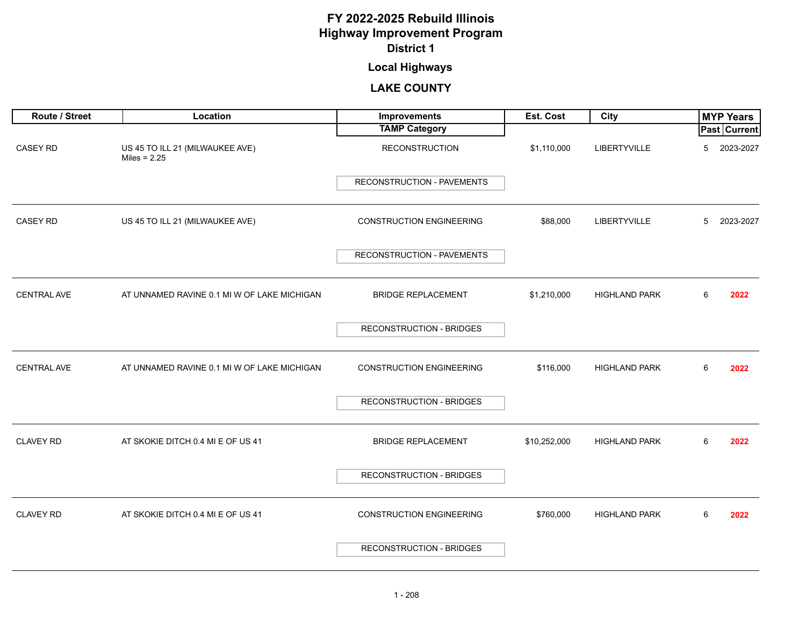## **Local Highways**

| Route / Street     | Location                                          | Improvements                    | Est. Cost    | <b>City</b>          |             | <b>MYP Years</b> |
|--------------------|---------------------------------------------------|---------------------------------|--------------|----------------------|-------------|------------------|
|                    |                                                   | <b>TAMP Category</b>            |              |                      |             | Past Current     |
| <b>CASEY RD</b>    | US 45 TO ILL 21 (MILWAUKEE AVE)<br>Miles = $2.25$ | <b>RECONSTRUCTION</b>           | \$1,110,000  | LIBERTYVILLE         | 5           | 2023-2027        |
|                    |                                                   | RECONSTRUCTION - PAVEMENTS      |              |                      |             |                  |
| CASEY RD           | US 45 TO ILL 21 (MILWAUKEE AVE)                   | <b>CONSTRUCTION ENGINEERING</b> | \$88,000     | LIBERTYVILLE         | $5^{\circ}$ | 2023-2027        |
|                    |                                                   | RECONSTRUCTION - PAVEMENTS      |              |                      |             |                  |
| <b>CENTRAL AVE</b> | AT UNNAMED RAVINE 0.1 MI W OF LAKE MICHIGAN       | <b>BRIDGE REPLACEMENT</b>       | \$1,210,000  | <b>HIGHLAND PARK</b> | 6           | 2022             |
|                    |                                                   | <b>RECONSTRUCTION - BRIDGES</b> |              |                      |             |                  |
| <b>CENTRAL AVE</b> | AT UNNAMED RAVINE 0.1 MI W OF LAKE MICHIGAN       | <b>CONSTRUCTION ENGINEERING</b> | \$116,000    | <b>HIGHLAND PARK</b> | 6           | 2022             |
|                    |                                                   | <b>RECONSTRUCTION - BRIDGES</b> |              |                      |             |                  |
| <b>CLAVEY RD</b>   | AT SKOKIE DITCH 0.4 MI E OF US 41                 | <b>BRIDGE REPLACEMENT</b>       | \$10,252,000 | <b>HIGHLAND PARK</b> | 6           | 2022             |
|                    |                                                   | <b>RECONSTRUCTION - BRIDGES</b> |              |                      |             |                  |
| <b>CLAVEY RD</b>   | AT SKOKIE DITCH 0.4 MI E OF US 41                 | <b>CONSTRUCTION ENGINEERING</b> | \$760,000    | <b>HIGHLAND PARK</b> | 6           | 2022             |
|                    |                                                   | <b>RECONSTRUCTION - BRIDGES</b> |              |                      |             |                  |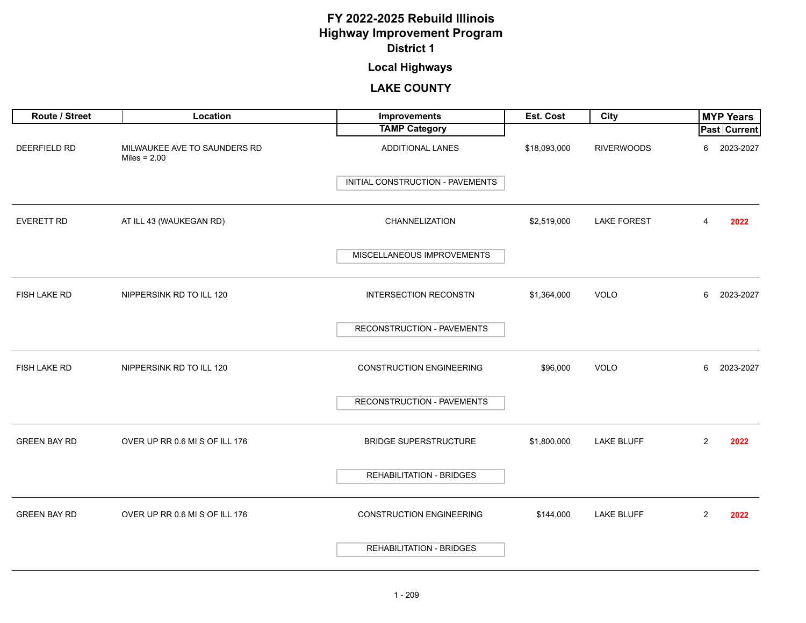## **Local Highways**

| Route / Street      | Location                                       | Improvements                     | Est. Cost    | City               | <b>MYP Years</b>       |
|---------------------|------------------------------------------------|----------------------------------|--------------|--------------------|------------------------|
|                     |                                                | <b>TAMP Category</b>             |              |                    | <b>Past Current</b>    |
| <b>DEERFIELD RD</b> | MILWAUKEE AVE TO SAUNDERS RD<br>Miles = $2.00$ | <b>ADDITIONAL LANES</b>          | \$18,093,000 | <b>RIVERWOODS</b>  | 2023-2027<br>6         |
|                     |                                                | INITIAL CONSTRUCTION - PAVEMENTS |              |                    |                        |
| <b>EVERETT RD</b>   | AT ILL 43 (WAUKEGAN RD)                        | CHANNELIZATION                   | \$2,519,000  | <b>LAKE FOREST</b> | 2022<br>4              |
|                     |                                                | MISCELLANEOUS IMPROVEMENTS       |              |                    |                        |
| FISH LAKE RD        | NIPPERSINK RD TO ILL 120                       | <b>INTERSECTION RECONSTN</b>     | \$1,364,000  | <b>VOLO</b>        | 2023-2027<br>6         |
|                     |                                                | RECONSTRUCTION - PAVEMENTS       |              |                    |                        |
| FISH LAKE RD        | NIPPERSINK RD TO ILL 120                       | <b>CONSTRUCTION ENGINEERING</b>  | \$96,000     | VOLO               | 2023-2027<br>6         |
|                     |                                                | RECONSTRUCTION - PAVEMENTS       |              |                    |                        |
| <b>GREEN BAY RD</b> | OVER UP RR 0.6 MI S OF ILL 176                 | <b>BRIDGE SUPERSTRUCTURE</b>     | \$1,800,000  | LAKE BLUFF         | $\overline{2}$<br>2022 |
|                     |                                                | <b>REHABILITATION - BRIDGES</b>  |              |                    |                        |
| <b>GREEN BAY RD</b> | OVER UP RR 0.6 MI S OF ILL 176                 | <b>CONSTRUCTION ENGINEERING</b>  | \$144,000    | <b>LAKE BLUFF</b>  | $\overline{2}$<br>2022 |
|                     |                                                | <b>REHABILITATION - BRIDGES</b>  |              |                    |                        |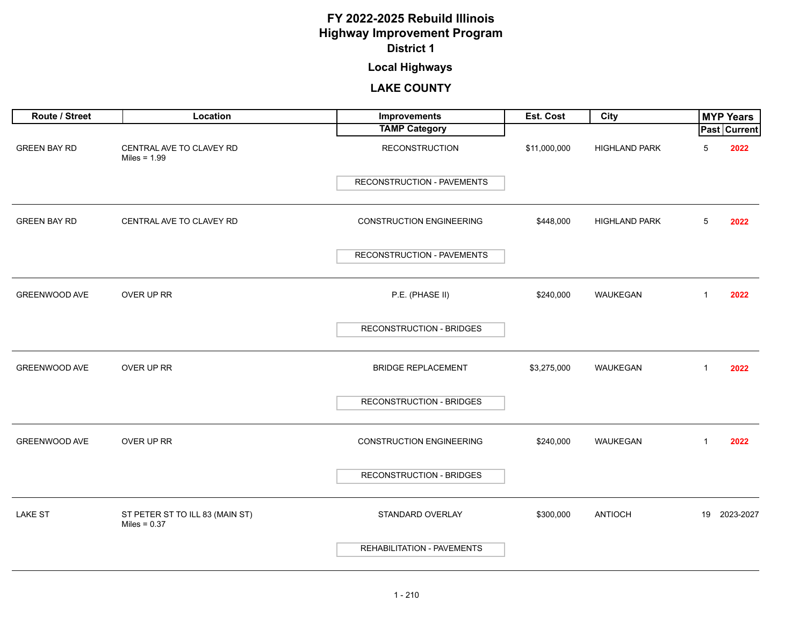## **Local Highways**

| Route / Street       | Location                                          | Improvements                      | Est. Cost    | City                 |              | <b>MYP Years</b>    |
|----------------------|---------------------------------------------------|-----------------------------------|--------------|----------------------|--------------|---------------------|
|                      |                                                   | <b>TAMP Category</b>              |              |                      |              | <b>Past Current</b> |
| <b>GREEN BAY RD</b>  | CENTRAL AVE TO CLAVEY RD<br>Miles = $1.99$        | <b>RECONSTRUCTION</b>             | \$11,000,000 | <b>HIGHLAND PARK</b> | 5            | 2022                |
|                      |                                                   | RECONSTRUCTION - PAVEMENTS        |              |                      |              |                     |
| <b>GREEN BAY RD</b>  | CENTRAL AVE TO CLAVEY RD                          | <b>CONSTRUCTION ENGINEERING</b>   | \$448,000    | <b>HIGHLAND PARK</b> | 5            | 2022                |
|                      |                                                   | RECONSTRUCTION - PAVEMENTS        |              |                      |              |                     |
| GREENWOOD AVE        | OVER UP RR                                        | P.E. (PHASE II)                   | \$240,000    | WAUKEGAN             | 1            | 2022                |
|                      |                                                   | <b>RECONSTRUCTION - BRIDGES</b>   |              |                      |              |                     |
| <b>GREENWOOD AVE</b> | OVER UP RR                                        | <b>BRIDGE REPLACEMENT</b>         | \$3,275,000  | WAUKEGAN             | $\mathbf{1}$ | 2022                |
|                      |                                                   | RECONSTRUCTION - BRIDGES          |              |                      |              |                     |
| <b>GREENWOOD AVE</b> | OVER UP RR                                        | <b>CONSTRUCTION ENGINEERING</b>   | \$240,000    | WAUKEGAN             | $\mathbf{1}$ | 2022                |
|                      |                                                   | <b>RECONSTRUCTION - BRIDGES</b>   |              |                      |              |                     |
| <b>LAKE ST</b>       | ST PETER ST TO ILL 83 (MAIN ST)<br>Miles = $0.37$ | STANDARD OVERLAY                  | \$300,000    | <b>ANTIOCH</b>       |              | 19 2023-2027        |
|                      |                                                   | <b>REHABILITATION - PAVEMENTS</b> |              |                      |              |                     |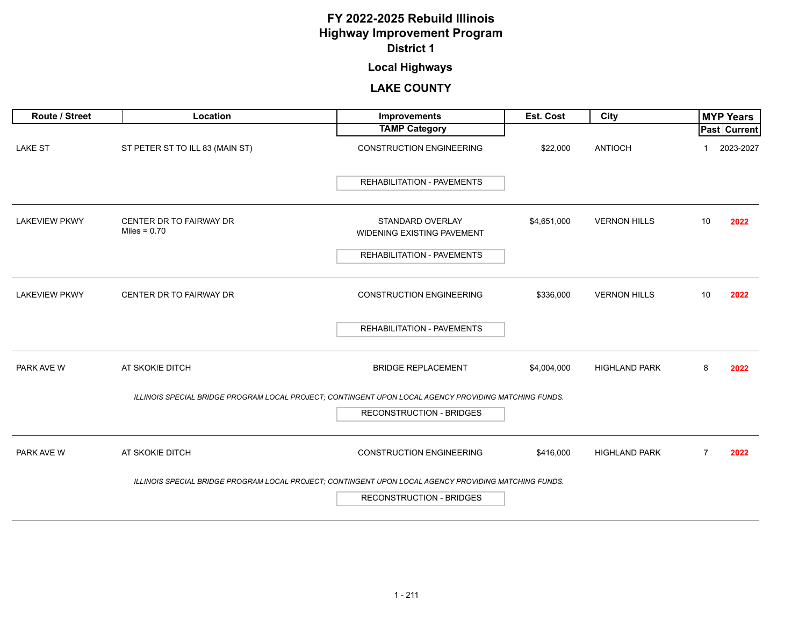## **Local Highways**

| Route / Street       | Location                                  | <b>Improvements</b>                                                                                   | <b>Est. Cost</b> | City                 |                | <b>MYP Years</b> |
|----------------------|-------------------------------------------|-------------------------------------------------------------------------------------------------------|------------------|----------------------|----------------|------------------|
|                      |                                           | <b>TAMP Category</b>                                                                                  |                  |                      |                | Past Current     |
| <b>LAKE ST</b>       | ST PETER ST TO ILL 83 (MAIN ST)           | <b>CONSTRUCTION ENGINEERING</b>                                                                       | \$22,000         | <b>ANTIOCH</b>       |                | 2023-2027        |
|                      |                                           | <b>REHABILITATION - PAVEMENTS</b>                                                                     |                  |                      |                |                  |
| <b>LAKEVIEW PKWY</b> | CENTER DR TO FAIRWAY DR<br>Miles = $0.70$ | <b>STANDARD OVERLAY</b><br>WIDENING EXISTING PAVEMENT                                                 | \$4,651,000      | <b>VERNON HILLS</b>  | 10             | 2022             |
|                      |                                           | <b>REHABILITATION - PAVEMENTS</b>                                                                     |                  |                      |                |                  |
| <b>LAKEVIEW PKWY</b> | CENTER DR TO FAIRWAY DR                   | <b>CONSTRUCTION ENGINEERING</b>                                                                       | \$336,000        | <b>VERNON HILLS</b>  | 10             | 2022             |
|                      |                                           | <b>REHABILITATION - PAVEMENTS</b>                                                                     |                  |                      |                |                  |
| PARK AVE W           | AT SKOKIE DITCH                           | <b>BRIDGE REPLACEMENT</b>                                                                             | \$4,004,000      | <b>HIGHLAND PARK</b> | 8              | 2022             |
|                      |                                           | ILLINOIS SPECIAL BRIDGE PROGRAM LOCAL PROJECT; CONTINGENT UPON LOCAL AGENCY PROVIDING MATCHING FUNDS. |                  |                      |                |                  |
|                      |                                           | <b>RECONSTRUCTION - BRIDGES</b>                                                                       |                  |                      |                |                  |
| PARK AVE W           | AT SKOKIE DITCH                           | <b>CONSTRUCTION ENGINEERING</b>                                                                       | \$416,000        | <b>HIGHLAND PARK</b> | $\overline{7}$ | 2022             |
|                      |                                           | ILLINOIS SPECIAL BRIDGE PROGRAM LOCAL PROJECT; CONTINGENT UPON LOCAL AGENCY PROVIDING MATCHING FUNDS. |                  |                      |                |                  |
|                      |                                           | <b>RECONSTRUCTION - BRIDGES</b>                                                                       |                  |                      |                |                  |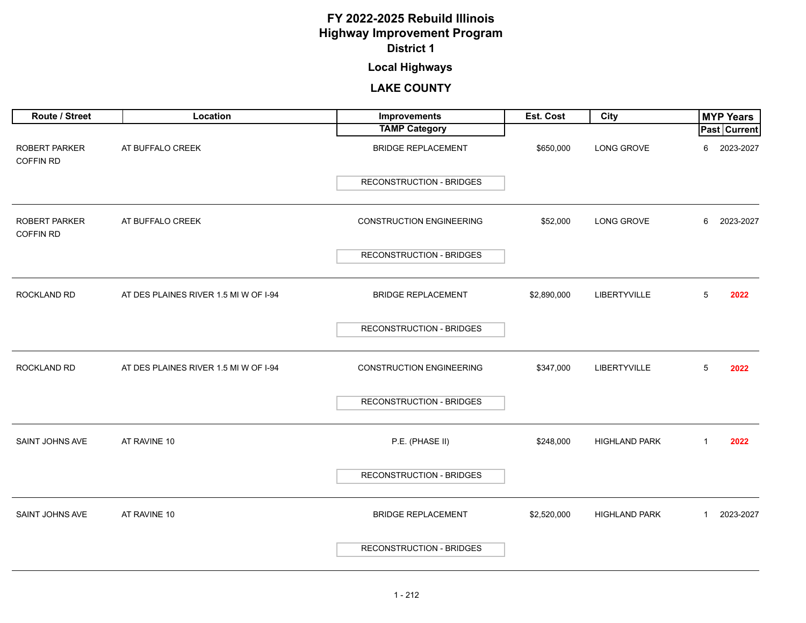## **Local Highways**

| Route / Street                           | Location                              | Improvements                    | Est. Cost   | City                 | <b>MYP Years</b>          |
|------------------------------------------|---------------------------------------|---------------------------------|-------------|----------------------|---------------------------|
|                                          |                                       | <b>TAMP Category</b>            |             |                      | Past Current              |
| <b>ROBERT PARKER</b><br><b>COFFIN RD</b> | AT BUFFALO CREEK                      | <b>BRIDGE REPLACEMENT</b>       | \$650,000   | LONG GROVE           | 2023-2027<br>6            |
|                                          |                                       | <b>RECONSTRUCTION - BRIDGES</b> |             |                      |                           |
| <b>ROBERT PARKER</b><br><b>COFFIN RD</b> | AT BUFFALO CREEK                      | <b>CONSTRUCTION ENGINEERING</b> | \$52,000    | LONG GROVE           | 2023-2027<br>6            |
|                                          |                                       | RECONSTRUCTION - BRIDGES        |             |                      |                           |
| <b>ROCKLAND RD</b>                       | AT DES PLAINES RIVER 1.5 MI W OF I-94 | <b>BRIDGE REPLACEMENT</b>       | \$2,890,000 | LIBERTYVILLE         | 5<br>2022                 |
|                                          |                                       | <b>RECONSTRUCTION - BRIDGES</b> |             |                      |                           |
| <b>ROCKLAND RD</b>                       | AT DES PLAINES RIVER 1.5 MI W OF I-94 | <b>CONSTRUCTION ENGINEERING</b> | \$347,000   | LIBERTYVILLE         | 5<br>2022                 |
|                                          |                                       | <b>RECONSTRUCTION - BRIDGES</b> |             |                      |                           |
| <b>SAINT JOHNS AVE</b>                   | AT RAVINE 10                          | P.E. (PHASE II)                 | \$248,000   | <b>HIGHLAND PARK</b> | 2022<br>$\mathbf{1}$      |
|                                          |                                       | <b>RECONSTRUCTION - BRIDGES</b> |             |                      |                           |
| SAINT JOHNS AVE                          | AT RAVINE 10                          | <b>BRIDGE REPLACEMENT</b>       | \$2,520,000 | <b>HIGHLAND PARK</b> | 2023-2027<br>$\mathbf{1}$ |
|                                          |                                       | RECONSTRUCTION - BRIDGES        |             |                      |                           |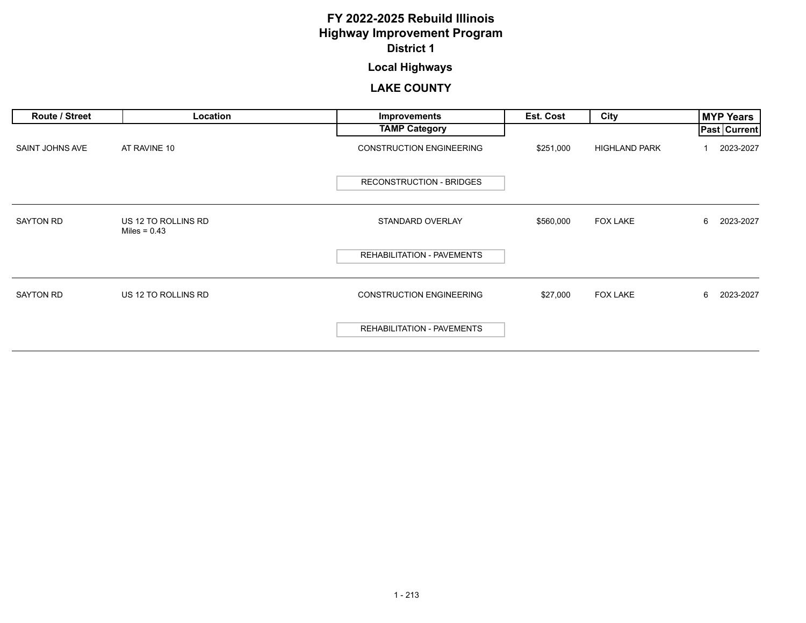## **Local Highways**

| Route / Street   | Location                              | <b>Improvements</b>             | Est. Cost | City                 | <b>MYP Years</b>    |
|------------------|---------------------------------------|---------------------------------|-----------|----------------------|---------------------|
|                  |                                       | <b>TAMP Category</b>            |           |                      | <b>Past Current</b> |
| SAINT JOHNS AVE  | AT RAVINE 10                          | <b>CONSTRUCTION ENGINEERING</b> | \$251,000 | <b>HIGHLAND PARK</b> | 2023-2027           |
|                  |                                       | RECONSTRUCTION - BRIDGES        |           |                      |                     |
| <b>SAYTON RD</b> | US 12 TO ROLLINS RD<br>Miles = $0.43$ | STANDARD OVERLAY                | \$560,000 | <b>FOX LAKE</b>      | 6<br>2023-2027      |
|                  |                                       | REHABILITATION - PAVEMENTS      |           |                      |                     |
| <b>SAYTON RD</b> | US 12 TO ROLLINS RD                   | <b>CONSTRUCTION ENGINEERING</b> | \$27,000  | <b>FOX LAKE</b>      | 2023-2027<br>6      |
|                  |                                       | REHABILITATION - PAVEMENTS      |           |                      |                     |